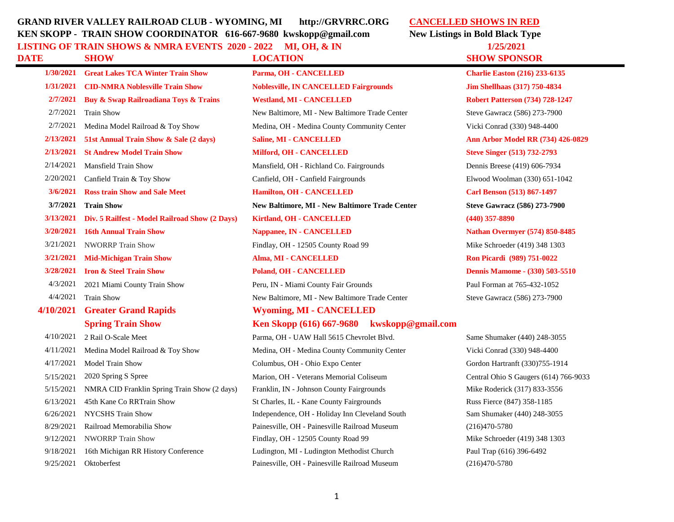## **GRAND RIVER VALLEY RAILROAD CLUB - WYOMING, MI http://GRVRRC.ORG CANCELLED SHOWS IN RED KEN SKOPP - TRAIN SHOW COORDINATOR 616-667-9680 kwskopp@gmail.com New Listings in Bold Black Type LISTING OF TRAIN SHOWS & NMRA EVENTS 2020 - 2022 MI, OH, & IN 1/25/2021**

## **DATE SHOW LOCATION SHOW SPONSOR**

**1/30/2021 Great Lakes TCA Winter Train Show Parma, OH - CANCELLED Charlie Easton (216) 233-6135 1/31/2021 CID-NMRA Noblesville Train Show Noblesville, IN CANCELLED Fairgrounds Jim Shellhaas (317) 750-4834 2/7/2021 Buy & Swap Railroadiana Toys & Trains Westland, MI - CANCELLED Robert Patterson (734) 728-1247** 2/7/2021 Train Show New Baltimore, MI - New Baltimore Trade Center Steve Gawracz (586) 273-7900 2/7/2021 Medina Model Railroad & Toy Show Medina, OH - Medina County Community Center Vicki Conrad (330) 948-4400 **2/13/2021 51st Annual Train Show & Sale (2 days) Saline, MI - CANCELLED Ann Arbor Model RR (734) 426-0829 2/13/2021 St Andrew Model Train Show Milford, OH - CANCELLED Steve Singer (513) 732-2793** 2/14/2021 Mansfield Train Show Mansfield, OH - Richland Co. Fairgrounds Dennis Breese (419) 606-7934 2/20/2021 Canfield Train & Toy Show Canfield, OH - Canfield Fairgrounds Elwood Woolman (330) 651-1042 **3/6/2021 Ross train Show and Sale Meet Hamilton, OH - CANCELLED Carl Benson (513) 867-1497 3/7/2021 Train Show New Baltimore, MI - New Baltimore Trade Center Steve Gawracz (586) 273-7900 3/13/2021 Div. 5 Railfest - Model Railroad Show (2 Days) Kirtland, OH - CANCELLED (440) 357-8890 3/20/2021 16th Annual Train Show Nappanee, IN - CANCELLED Nathan Overmyer (574) 850-8485** 3/21/2021 NWORRP Train Show Findlay, OH - 12505 County Road 99 Mike Schroeder (419) 348 1303 **3/21/2021 Mid-Michigan Train Show Alma, MI - CANCELLED Ron Picardi (989) 751-0022 3/28/2021 Iron & Steel Train Show Poland, OH - CANCELLED Dennis Mamome - (330) 503-5510** 4/3/2021 2021 Miami County Train Show Peru, IN - Miami County Fair Grounds Paul Forman at 765-432-1052 4/4/2021 Train Show New Baltimore, MI - New Baltimore Trade Center Steve Gawracz (586) 273-7900 **4/10/2021 Greater Grand Rapids Wyoming, MI - CANCELLED Spring Train Show Ken Skopp (616) 667-9680 kwskopp@gmail.com** 4/10/2021 2 Rail O-Scale Meet Parma, OH - UAW Hall 5615 Chevrolet Blvd. Same Shumaker (440) 248-3055 4/11/2021 Medina Model Railroad & Toy Show Medina, OH - Medina County Community Center Vicki Conrad (330) 948-4400 4/17/2021 Model Train Show Columbus, OH - Ohio Expo Center Gordon Hartranft (330)755-1914 5/15/2021 2020 Spring S Spree Marion, OH - Veterans Memorial Coliseum Central Ohio S Gaugers (614) 766-9033 5/15/2021 NMRA CID Franklin Spring Train Show (2 days) Franklin, IN - Johnson County Fairgrounds Mike Roderick (317) 833-3556 6/13/2021 45th Kane Co RRTrain Show St Charles, IL - Kane County Fairgrounds Russ Fierce (847) 358-1185 6/26/2021 NYCSHS Train Show Independence, OH - Holiday Inn Cleveland South Sam Shumaker (440) 248-3055 8/29/2021 Railroad Memorabilia Show Painesville, OH - Painesville Railroad Museum (216)470-5780 9/12/2021 NWORRP Train Show Findlay, OH - 12505 County Road 99 Mike Schroeder (419) 348 1303 9/18/2021 16th Michigan RR History Conference Ludington, MI - Ludington Methodist Church Paul Trap (616) 396-6492 9/25/2021 Oktoberfest Painesville, OH - Painesville Railroad Museum (216)470-5780